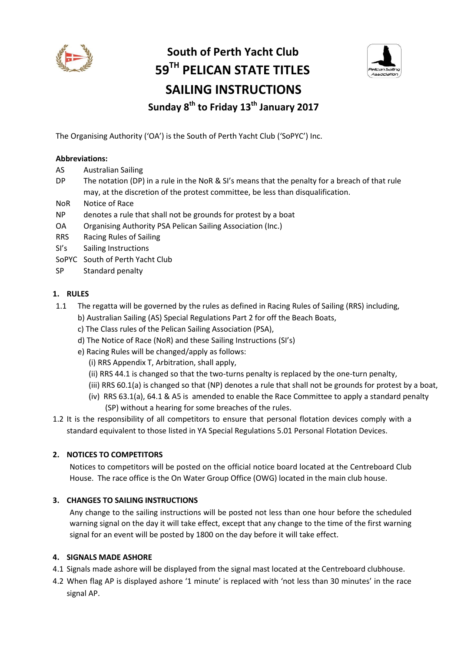

# **South of Perth Yacht Club 59TH PELICAN STATE TITLES SAILING INSTRUCTIONS Sunday 8 th to Friday 13th January 2017**



The Organising Authority ('OA') is the South of Perth Yacht Club ('SoPYC') Inc.

#### **Abbreviations:**

- AS Australian Sailing
- DP The notation (DP) in a rule in the NoR & SI's means that the penalty for a breach of that rule may, at the discretion of the protest committee, be less than disqualification.
- NoR Notice of Race
- NP denotes a rule that shall not be grounds for protest by a boat
- OA Organising Authority PSA Pelican Sailing Association (Inc.)
- RRS Racing Rules of Sailing
- SI's Sailing Instructions
- SoPYC South of Perth Yacht Club
- SP Standard penalty

#### **1. RULES**

- 1.1 The regatta will be governed by the rules as defined in Racing Rules of Sailing (RRS) including,
	- b) Australian Sailing (AS) Special Regulations Part 2 for off the Beach Boats,
	- c) The Class rules of the Pelican Sailing Association (PSA),
	- d) The Notice of Race (NoR) and these Sailing Instructions (SI's)
	- e) Racing Rules will be changed/apply as follows:
		- (i) RRS Appendix T, Arbitration, shall apply,
		- (ii) RRS 44.1 is changed so that the two-turns penalty is replaced by the one-turn penalty,
		- (iii) RRS 60.1(a) is changed so that (NP) denotes a rule that shall not be grounds for protest by a boat,
		- (iv) RRS 63.1(a), 64.1 & A5 is amended to enable the Race Committee to apply a standard penalty (SP) without a hearing for some breaches of the rules.

1.2 It is the responsibility of all competitors to ensure that personal flotation devices comply with a standard equivalent to those listed in YA Special Regulations 5.01 Personal Flotation Devices.

#### **2. NOTICES TO COMPETITORS**

Notices to competitors will be posted on the official notice board located at the Centreboard Club House. The race office is the On Water Group Office (OWG) located in the main club house.

#### **3. CHANGES TO SAILING INSTRUCTIONS**

Any change to the sailing instructions will be posted not less than one hour before the scheduled warning signal on the day it will take effect, except that any change to the time of the first warning signal for an event will be posted by 1800 on the day before it will take effect.

#### **4. SIGNALS MADE ASHORE**

- 4.1 Signals made ashore will be displayed from the signal mast located at the Centreboard clubhouse.
- 4.2 When flag AP is displayed ashore '1 minute' is replaced with 'not less than 30 minutes' in the race signal AP.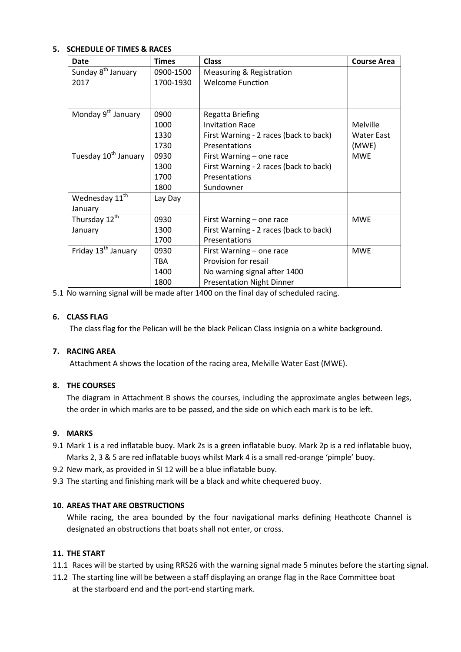#### **5. SCHEDULE OF TIMES & RACES**

| Date                             | <b>Times</b> | <b>Class</b>                           | <b>Course Area</b> |
|----------------------------------|--------------|----------------------------------------|--------------------|
| Sunday 8 <sup>th</sup> January   | 0900-1500    | Measuring & Registration               |                    |
| 2017                             | 1700-1930    | <b>Welcome Function</b>                |                    |
|                                  |              |                                        |                    |
|                                  |              |                                        |                    |
| Monday 9 <sup>th</sup> January   | 0900         | <b>Regatta Briefing</b>                |                    |
|                                  | 1000         | <b>Invitation Race</b>                 | Melville           |
|                                  | 1330         | First Warning - 2 races (back to back) | Water East         |
|                                  | 1730         | Presentations                          | (MWE)              |
| Tuesday 10 <sup>th</sup> January | 0930         | First Warning - one race               | <b>MWE</b>         |
|                                  | 1300         | First Warning - 2 races (back to back) |                    |
|                                  | 1700         | Presentations                          |                    |
|                                  | 1800         | Sundowner                              |                    |
| Wednesday 11 <sup>th</sup>       | Lay Day      |                                        |                    |
| January                          |              |                                        |                    |
| Thursday 12 <sup>th</sup>        | 0930         | First Warning - one race               | <b>MWE</b>         |
| January                          | 1300         | First Warning - 2 races (back to back) |                    |
|                                  | 1700         | Presentations                          |                    |
| Friday 13 <sup>th</sup> January  | 0930         | First Warning - one race               | <b>MWE</b>         |
|                                  | TBA          | Provision for resail                   |                    |
|                                  | 1400         | No warning signal after 1400           |                    |
|                                  | 1800         | <b>Presentation Night Dinner</b>       |                    |

5.1 No warning signal will be made after 1400 on the final day of scheduled racing.

#### **6. CLASS FLAG**

The class flag for the Pelican will be the black Pelican Class insignia on a white background.

#### **7. RACING AREA**

Attachment A shows the location of the racing area, Melville Water East (MWE).

#### **8. THE COURSES**

The diagram in Attachment B shows the courses, including the approximate angles between legs, the order in which marks are to be passed, and the side on which each mark is to be left.

#### **9. MARKS**

- 9.1 Mark 1 is a red inflatable buoy. Mark 2s is a green inflatable buoy. Mark 2p is a red inflatable buoy, Marks 2, 3 & 5 are red inflatable buoys whilst Mark 4 is a small red-orange 'pimple' buoy.
- 9.2 New mark, as provided in SI 12 will be a blue inflatable buoy.
- 9.3 The starting and finishing mark will be a black and white chequered buoy.

#### **10. AREAS THAT ARE OBSTRUCTIONS**

While racing, the area bounded by the four navigational marks defining Heathcote Channel is designated an obstructions that boats shall not enter, or cross.

#### **11. THE START**

- 11.1 Races will be started by using RRS26 with the warning signal made 5 minutes before the starting signal.
- 11.2 The starting line will be between a staff displaying an orange flag in the Race Committee boat at the starboard end and the port-end starting mark.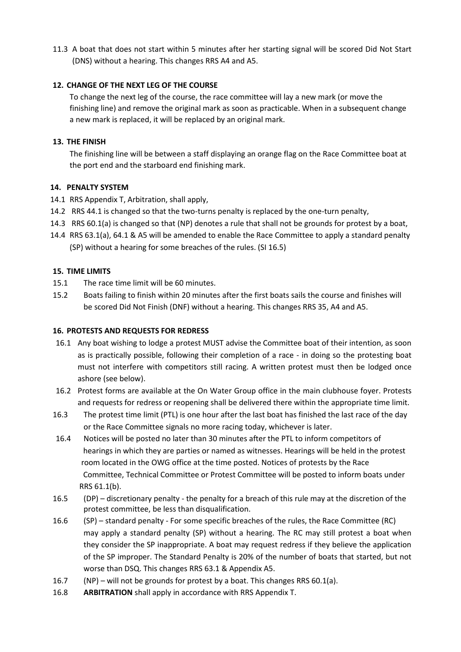11.3 A boat that does not start within 5 minutes after her starting signal will be scored Did Not Start (DNS) without a hearing. This changes RRS A4 and A5.

## **12. CHANGE OF THE NEXT LEG OF THE COURSE**

To change the next leg of the course, the race committee will lay a new mark (or move the finishing line) and remove the original mark as soon as practicable. When in a subsequent change a new mark is replaced, it will be replaced by an original mark.

### **13. THE FINISH**

The finishing line will be between a staff displaying an orange flag on the Race Committee boat at the port end and the starboard end finishing mark.

#### **14. PENALTY SYSTEM**

- 14.1 RRS Appendix T, Arbitration, shall apply,
- 14.2 RRS 44.1 is changed so that the two-turns penalty is replaced by the one-turn penalty,
- 14.3 RRS 60.1(a) is changed so that (NP) denotes a rule that shall not be grounds for protest by a boat,
- 14.4 RRS 63.1(a), 64.1 & A5 will be amended to enable the Race Committee to apply a standard penalty (SP) without a hearing for some breaches of the rules. (SI 16.5)

## **15. TIME LIMITS**

- 15.1 The race time limit will be 60 minutes.
- 15.2 Boats failing to finish within 20 minutes after the first boats sails the course and finishes will be scored Did Not Finish (DNF) without a hearing. This changes RRS 35, A4 and A5.

### **16. PROTESTS AND REQUESTS FOR REDRESS**

- 16.1 Any boat wishing to lodge a protest MUST advise the Committee boat of their intention, as soon as is practically possible, following their completion of a race - in doing so the protesting boat must not interfere with competitors still racing. A written protest must then be lodged once ashore (see below).
- 16.2 Protest forms are available at the On Water Group office in the main clubhouse foyer. Protests and requests for redress or reopening shall be delivered there within the appropriate time limit.
- 16.3 The protest time limit (PTL) is one hour after the last boat has finished the last race of the day or the Race Committee signals no more racing today, whichever is later.
- 16.4 Notices will be posted no later than 30 minutes after the PTL to inform competitors of hearings in which they are parties or named as witnesses. Hearings will be held in the protest room located in the OWG office at the time posted. Notices of protests by the Race Committee, Technical Committee or Protest Committee will be posted to inform boats under RRS 61.1(b).
- 16.5 (DP) discretionary penalty the penalty for a breach of this rule may at the discretion of the protest committee, be less than disqualification.
- 16.6 (SP) standard penalty For some specific breaches of the rules, the Race Committee (RC) may apply a standard penalty (SP) without a hearing. The RC may still protest a boat when they consider the SP inappropriate. A boat may request redress if they believe the application of the SP improper. The Standard Penalty is 20% of the number of boats that started, but not worse than DSQ. This changes RRS 63.1 & Appendix A5.
- 16.7 (NP) will not be grounds for protest by a boat. This changes RRS 60.1(a).
- 16.8 **ARBITRATION** shall apply in accordance with RRS Appendix T.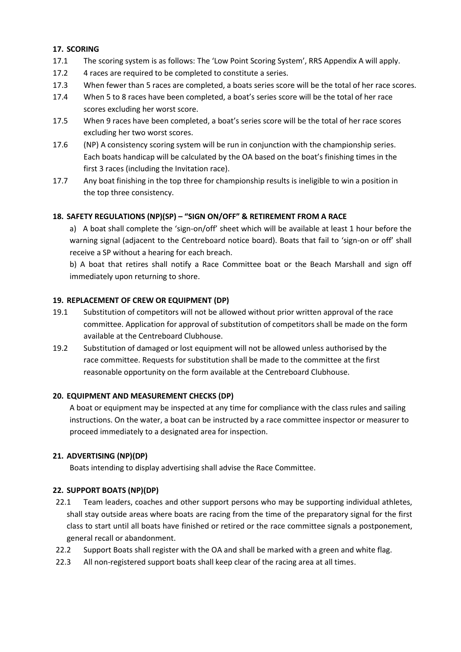#### **17. SCORING**

- 17.1 The scoring system is as follows: The 'Low Point Scoring System', RRS Appendix A will apply.
- 17.2 4 races are required to be completed to constitute a series.
- 17.3 When fewer than 5 races are completed, a boats series score will be the total of her race scores.
- 17.4 When 5 to 8 races have been completed, a boat's series score will be the total of her race scores excluding her worst score.
- 17.5 When 9 races have been completed, a boat's series score will be the total of her race scores excluding her two worst scores.
- 17.6 (NP) A consistency scoring system will be run in conjunction with the championship series. Each boats handicap will be calculated by the OA based on the boat's finishing times in the first 3 races (including the Invitation race).
- 17.7 Any boat finishing in the top three for championship results is ineligible to win a position in the top three consistency.

## **18. SAFETY REGULATIONS (NP)(SP) – "SIGN ON/OFF" & RETIREMENT FROM A RACE**

a) A boat shall complete the 'sign-on/off' sheet which will be available at least 1 hour before the warning signal (adjacent to the Centreboard notice board). Boats that fail to 'sign-on or off' shall receive a SP without a hearing for each breach.

b) A boat that retires shall notify a Race Committee boat or the Beach Marshall and sign off immediately upon returning to shore.

#### **19. REPLACEMENT OF CREW OR EQUIPMENT (DP)**

- 19.1 Substitution of competitors will not be allowed without prior written approval of the race committee. Application for approval of substitution of competitors shall be made on the form available at the Centreboard Clubhouse.
- 19.2 Substitution of damaged or lost equipment will not be allowed unless authorised by the race committee. Requests for substitution shall be made to the committee at the first reasonable opportunity on the form available at the Centreboard Clubhouse.

#### **20. EQUIPMENT AND MEASUREMENT CHECKS (DP)**

A boat or equipment may be inspected at any time for compliance with the class rules and sailing instructions. On the water, a boat can be instructed by a race committee inspector or measurer to proceed immediately to a designated area for inspection.

#### **21. ADVERTISING (NP)(DP)**

Boats intending to display advertising shall advise the Race Committee.

#### **22. SUPPORT BOATS (NP)(DP)**

- 22.1 Team leaders, coaches and other support persons who may be supporting individual athletes, shall stay outside areas where boats are racing from the time of the preparatory signal for the first class to start until all boats have finished or retired or the race committee signals a postponement, general recall or abandonment.
- 22.2 Support Boats shall register with the OA and shall be marked with a green and white flag.
- 22.3 All non-registered support boats shall keep clear of the racing area at all times.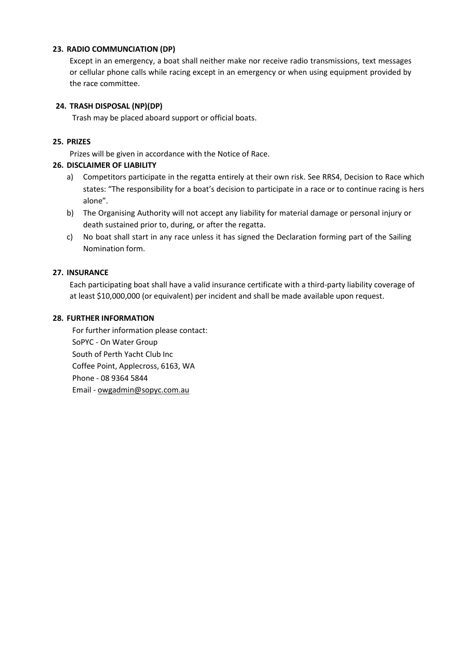#### **23. RADIO COMMUNCIATION (DP)**

Except in an emergency, a boat shall neither make nor receive radio transmissions, text messages or cellular phone calls while racing except in an emergency or when using equipment provided by the race committee.

#### **24. TRASH DISPOSAL (NP)(DP)**

Trash may be placed aboard support or official boats.

#### **25. PRIZES**

Prizes will be given in accordance with the Notice of Race.

#### **26. DISCLAIMER OF LIABILITY**

- a) Competitors participate in the regatta entirely at their own risk. See RRS4, Decision to Race which states: "The responsibility for a boat's decision to participate in a race or to continue racing is hers alone".
- b) The Organising Authority will not accept any liability for material damage or personal injury or death sustained prior to, during, or after the regatta.
- c) No boat shall start in any race unless it has signed the Declaration forming part of the Sailing Nomination form.

#### **27. INSURANCE**

Each participating boat shall have a valid insurance certificate with a third-party liability coverage of at least \$10,000,000 (or equivalent) per incident and shall be made available upon request.

#### **28. FURTHER INFORMATION**

For further information please contact: SoPYC - On Water Group South of Perth Yacht Club Inc Coffee Point, Applecross, 6163, WA Phone - 08 9364 5844 Email - [owgadmin@sopyc.com.au](mailto:owgadmin@sopyc.com.au)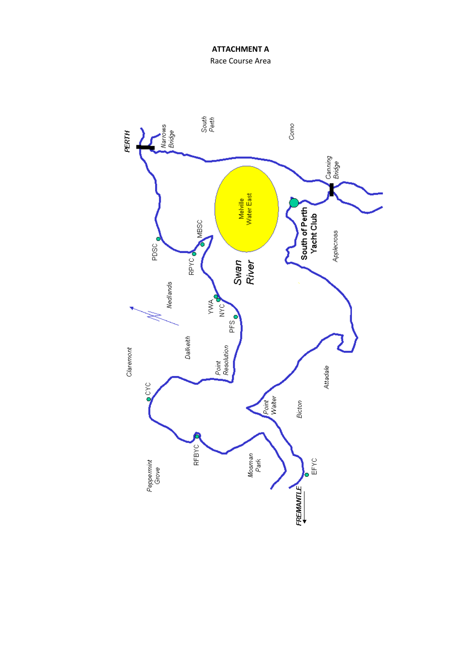Race Course Area